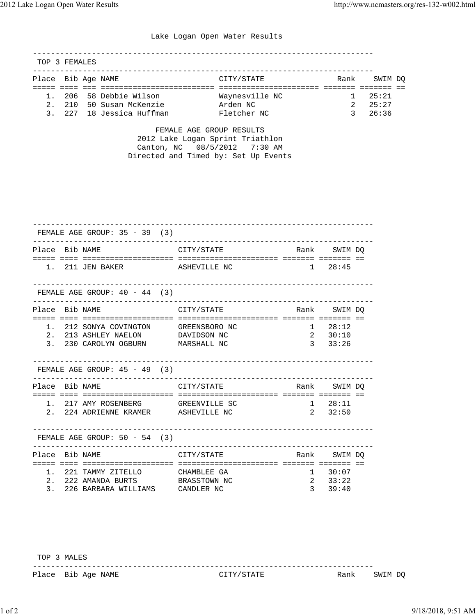## Lake Logan Open Water Results

---------------------------------------------------------------------------

|  | CITY/STATE                                                                                                              | SWIM DO |
|--|-------------------------------------------------------------------------------------------------------------------------|---------|
|  |                                                                                                                         |         |
|  | Waynesville NC                                                                                                          | 25:21   |
|  | Arden NC                                                                                                                | 25:27   |
|  | Fletcher NC                                                                                                             | 26:36   |
|  | TOP 3 FEMALES<br>Place Bib Age NAME<br>1. 206 58 Debbie Wilson<br>2. 210 50 Susan McKenzie<br>3. 227 18 Jessica Huffman | Rank    |

 FEMALE AGE GROUP RESULTS 2012 Lake Logan Sprint Triathlon Canton, NC 08/5/2012 7:30 AM Directed and Timed by: Set Up Events

|                |           | FEMALE AGE GROUP: $35 - 39$ (3)                                                                                      |                                                               |               |                                     |  |
|----------------|-----------|----------------------------------------------------------------------------------------------------------------------|---------------------------------------------------------------|---------------|-------------------------------------|--|
| Place Bib NAME |           |                                                                                                                      | CITY/STATE                                                    |               | Rank SWIM DQ                        |  |
|                |           | 1. 211 JEN BAKER ASHEVILLE NC                                                                                        | $1 \t28:45$                                                   |               |                                     |  |
|                |           | FEMALE AGE GROUP: $40 - 44$ (3)                                                                                      |                                                               |               |                                     |  |
| Place Bib NAME |           |                                                                                                                      |                                                               |               |                                     |  |
|                |           | 1. 212 SONYA COVINGTON GREENSBORO NC<br>2. 213 ASHLEY NAELON DAVIDSON NC<br>3. 230 CAROLYN OGBURN MARSHALL NC        |                                                               | $\mathcal{E}$ | $1 \t28:12$<br>$2 \t30:10$<br>33:26 |  |
|                |           | FEMALE AGE GROUP: $45 - 49$ (3)                                                                                      | --------------------                                          |               |                                     |  |
| Place Bib NAME |           |                                                                                                                      | CITY/STATE Rank SWIMDQ                                        |               |                                     |  |
|                |           | 1. 217 AMY ROSENBERG GREENVILLE SC<br>2. 224 ADRIENNE KRAMER ASHEVILLE NC                                            |                                                               | $1 \t 28:11$  | 2, 32:50                            |  |
|                |           | FEMALE AGE GROUP: $50 - 54$ (3)                                                                                      |                                                               |               |                                     |  |
| Place Bib NAME |           |                                                                                                                      | CITY/STATE                                                    | Rank          | SWIM DO                             |  |
| 2.             | - = = = = | _=================================<br>1. 221 TAMMY ZITELLO<br>222 AMANDA BURTS<br>3. 226 BARBARA WILLIAMS CANDLER NC | ==============================<br>CHAMBLEE GA<br>BRASSTOWN NC | 2<br>3        | 1 30:07<br>33:22<br>39:40           |  |

TOP 3 MALES

Place Bib Age NAME  $CITY/STATE$  Rank SWIM DQ

---------------------------------------------------------------------------